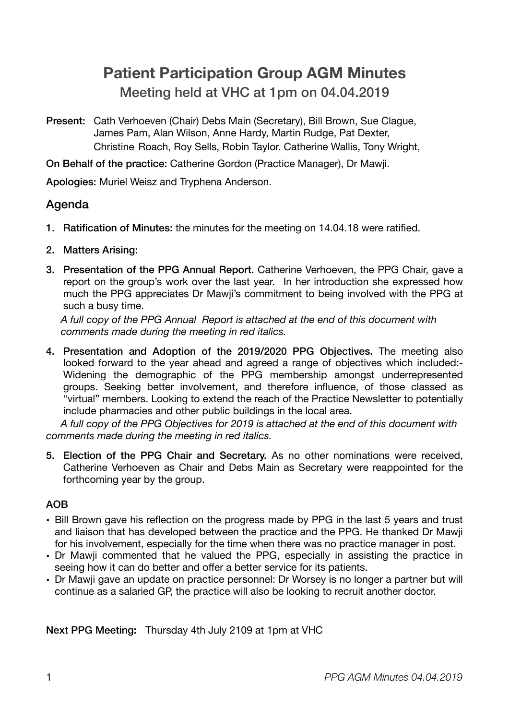# **Patient Participation Group AGM Minutes**  Meeting held at VHC at 1pm on 04.04.2019

Present: Cath Verhoeven (Chair) Debs Main (Secretary), Bill Brown, Sue Clague, James Pam, Alan Wilson, Anne Hardy, Martin Rudge, Pat Dexter, Christine Roach, Roy Sells, Robin Taylor. Catherine Wallis, Tony Wright,

On Behalf of the practice: Catherine Gordon (Practice Manager), Dr Mawji.

Apologies: Muriel Weisz and Tryphena Anderson.

### Agenda

- 1. Ratification of Minutes: the minutes for the meeting on 14.04.18 were ratified.
- 2. Matters Arising:
- 3. Presentation of the PPG Annual Report. Catherine Verhoeven, the PPG Chair, gave a report on the group's work over the last year. In her introduction she expressed how much the PPG appreciates Dr Mawji's commitment to being involved with the PPG at such a busy time.

*A full copy of the PPG Annual Report is attached at the end of this document with comments made during the meeting in red italics.* 

4. Presentation and Adoption of the 2019/2020 PPG Objectives. The meeting also looked forward to the year ahead and agreed a range of objectives which included:- Widening the demographic of the PPG membership amongst underrepresented groups. Seeking better involvement, and therefore influence, of those classed as "virtual" members. Looking to extend the reach of the Practice Newsletter to potentially include pharmacies and other public buildings in the local area.

*A full copy of the PPG Objectives for 2019 is attached at the end of this document with comments made during the meeting in red italics.* 

5. Election of the PPG Chair and Secretary. As no other nominations were received, Catherine Verhoeven as Chair and Debs Main as Secretary were reappointed for the forthcoming year by the group.

#### AOB

- Bill Brown gave his reflection on the progress made by PPG in the last 5 years and trust and liaison that has developed between the practice and the PPG. He thanked Dr Mawji for his involvement, especially for the time when there was no practice manager in post.
- Dr Mawji commented that he valued the PPG, especially in assisting the practice in seeing how it can do better and offer a better service for its patients.
- Dr Mawji gave an update on practice personnel: Dr Worsey is no longer a partner but will continue as a salaried GP, the practice will also be looking to recruit another doctor.

Next PPG Meeting: Thursday 4th July 2109 at 1pm at VHC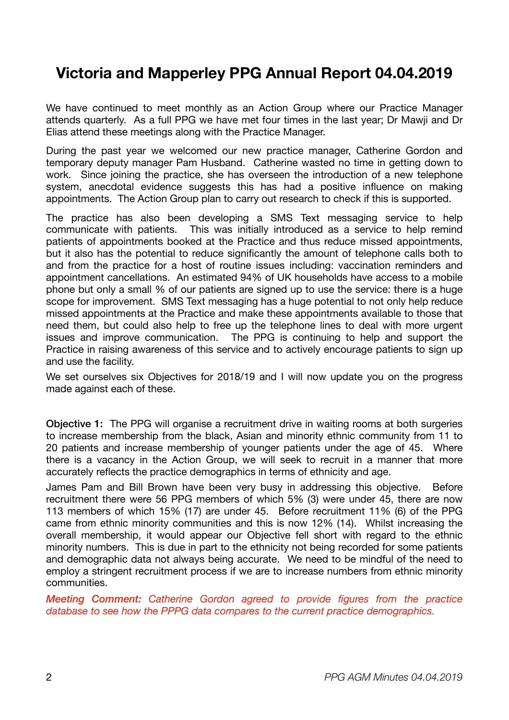## **Victoria and Mapperley PPG Annual Report 04.04.2019**

We have continued to meet monthly as an Action Group where our Practice Manager attends quarterly. As a full PPG we have met four times in the last year; Dr Mawji and Dr Elias attend these meetings along with the Practice Manager.

During the past year we welcomed our new practice manager, Catherine Gordon and temporary deputy manager Pam Husband. Catherine wasted no time in getting down to work. Since joining the practice, she has overseen the introduction of a new telephone system, anecdotal evidence suggests this has had a positive influence on making appointments. The Action Group plan to carry out research to check if this is supported.

The practice has also been developing a SMS Text messaging service to help communicate with patients. This was initially introduced as a service to help remind patients of appointments booked at the Practice and thus reduce missed appointments, but it also has the potential to reduce significantly the amount of telephone calls both to and from the practice for a host of routine issues including: vaccination reminders and appointment cancellations. An estimated 94% of UK households have access to a mobile phone but only a small % of our patients are signed up to use the service: there is a huge scope for improvement. SMS Text messaging has a huge potential to not only help reduce missed appointments at the Practice and make these appointments available to those that need them, but could also help to free up the telephone lines to deal with more urgent issues and improve communication. The PPG is continuing to help and support the Practice in raising awareness of this service and to actively encourage patients to sign up and use the facility.

We set ourselves six Objectives for 2018/19 and I will now update you on the progress made against each of these.

Objective 1: The PPG will organise a recruitment drive in waiting rooms at both surgeries to increase membership from the black, Asian and minority ethnic community from 11 to 20 patients and increase membership of younger patients under the age of 45. Where there is a vacancy in the Action Group, we will seek to recruit in a manner that more accurately reflects the practice demographics in terms of ethnicity and age.

James Pam and Bill Brown have been very busy in addressing this objective. Before recruitment there were 56 PPG members of which 5% (3) were under 45, there are now 113 members of which 15% (17) are under 45. Before recruitment 11% (6) of the PPG came from ethnic minority communities and this is now 12% (14). Whilst increasing the overall membership, it would appear our Objective fell short with regard to the ethnic minority numbers. This is due in part to the ethnicity not being recorded for some patients and demographic data not always being accurate. We need to be mindful of the need to employ a stringent recruitment process if we are to increase numbers from ethnic minority communities.

*Meeting Comment: Catherine Gordon agreed to provide figures from the practice database to see how the PPPG data compares to the current practice demographics.*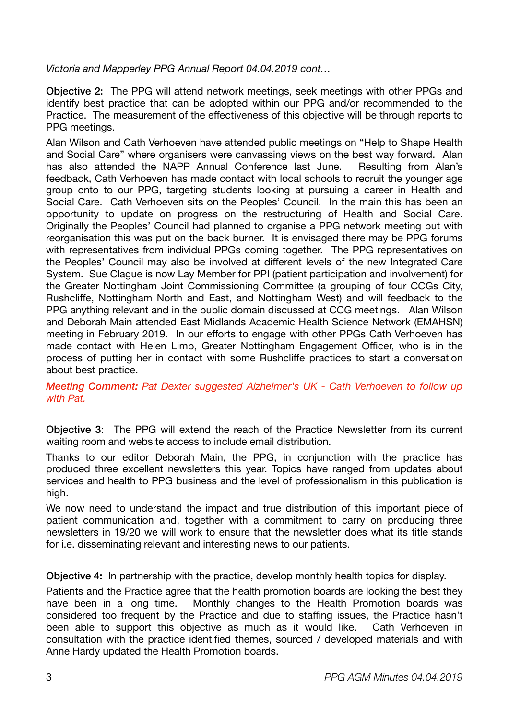*Victoria and Mapperley PPG Annual Report 04.04.2019 cont…* 

Objective 2: The PPG will attend network meetings, seek meetings with other PPGs and identify best practice that can be adopted within our PPG and/or recommended to the Practice. The measurement of the effectiveness of this objective will be through reports to PPG meetings.

Alan Wilson and Cath Verhoeven have attended public meetings on "Help to Shape Health and Social Care" where organisers were canvassing views on the best way forward. Alan has also attended the NAPP Annual Conference last June. Resulting from Alan's feedback, Cath Verhoeven has made contact with local schools to recruit the younger age group onto to our PPG, targeting students looking at pursuing a career in Health and Social Care. Cath Verhoeven sits on the Peoples' Council. In the main this has been an opportunity to update on progress on the restructuring of Health and Social Care. Originally the Peoples' Council had planned to organise a PPG network meeting but with reorganisation this was put on the back burner. It is envisaged there may be PPG forums with representatives from individual PPGs coming together. The PPG representatives on the Peoples' Council may also be involved at different levels of the new Integrated Care System. Sue Clague is now Lay Member for PPI (patient participation and involvement) for the Greater Nottingham Joint Commissioning Committee (a grouping of four CCGs City, Rushcliffe, Nottingham North and East, and Nottingham West) and will feedback to the PPG anything relevant and in the public domain discussed at CCG meetings. Alan Wilson and Deborah Main attended East Midlands Academic Health Science Network (EMAHSN) meeting in February 2019. In our efforts to engage with other PPGs Cath Verhoeven has made contact with Helen Limb, Greater Nottingham Engagement Officer, who is in the process of putting her in contact with some Rushcliffe practices to start a conversation about best practice.

*Meeting Comment: Pat Dexter suggested Alzheimer's UK - Cath Verhoeven to follow up with Pat.* 

Objective 3: The PPG will extend the reach of the Practice Newsletter from its current waiting room and website access to include email distribution.

Thanks to our editor Deborah Main, the PPG, in conjunction with the practice has produced three excellent newsletters this year. Topics have ranged from updates about services and health to PPG business and the level of professionalism in this publication is high.

We now need to understand the impact and true distribution of this important piece of patient communication and, together with a commitment to carry on producing three newsletters in 19/20 we will work to ensure that the newsletter does what its title stands for i.e. disseminating relevant and interesting news to our patients.

Objective 4: In partnership with the practice, develop monthly health topics for display.

Patients and the Practice agree that the health promotion boards are looking the best they have been in a long time. Monthly changes to the Health Promotion boards was considered too frequent by the Practice and due to staffing issues, the Practice hasn't been able to support this objective as much as it would like. Cath Verhoeven in consultation with the practice identified themes, sourced / developed materials and with Anne Hardy updated the Health Promotion boards.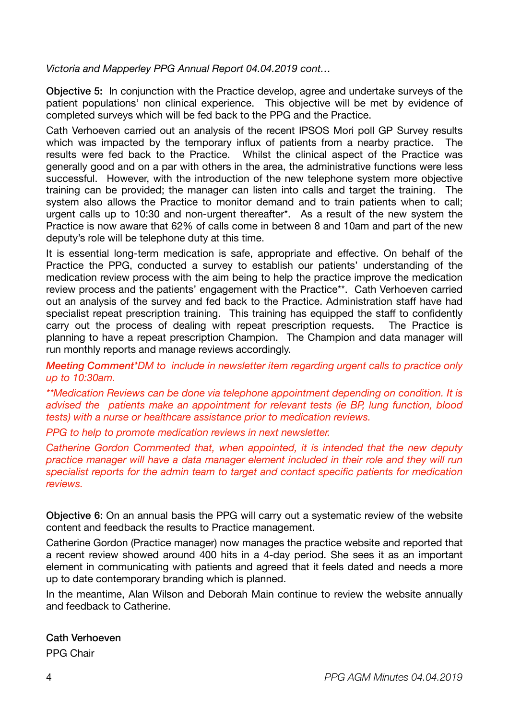*Victoria and Mapperley PPG Annual Report 04.04.2019 cont…* 

Objective 5: In conjunction with the Practice develop, agree and undertake surveys of the patient populations' non clinical experience. This objective will be met by evidence of completed surveys which will be fed back to the PPG and the Practice.

Cath Verhoeven carried out an analysis of the recent IPSOS Mori poll GP Survey results which was impacted by the temporary influx of patients from a nearby practice. The results were fed back to the Practice. Whilst the clinical aspect of the Practice was generally good and on a par with others in the area, the administrative functions were less successful. However, with the introduction of the new telephone system more objective training can be provided; the manager can listen into calls and target the training. The system also allows the Practice to monitor demand and to train patients when to call; urgent calls up to 10:30 and non-urgent thereafter\*. As a result of the new system the Practice is now aware that 62% of calls come in between 8 and 10am and part of the new deputy's role will be telephone duty at this time.

It is essential long-term medication is safe, appropriate and effective. On behalf of the Practice the PPG, conducted a survey to establish our patients' understanding of the medication review process with the aim being to help the practice improve the medication review process and the patients' engagement with the Practice\*\*. Cath Verhoeven carried out an analysis of the survey and fed back to the Practice. Administration staff have had specialist repeat prescription training. This training has equipped the staff to confidently carry out the process of dealing with repeat prescription requests. The Practice is planning to have a repeat prescription Champion. The Champion and data manager will run monthly reports and manage reviews accordingly.

*Meeting Comment\*DM to include in newsletter item regarding urgent calls to practice only up to 10:30am.* 

*\*\*Medication Reviews can be done via telephone appointment depending on condition. It is advised the patients make an appointment for relevant tests (ie BP, lung function, blood tests) with a nurse or healthcare assistance prior to medication reviews.* 

*PPG to help to promote medication reviews in next newsletter.* 

*Catherine Gordon Commented that, when appointed, it is intended that the new deputy practice manager will have a data manager element included in their role and they will run specialist reports for the admin team to target and contact specific patients for medication reviews.* 

Objective 6: On an annual basis the PPG will carry out a systematic review of the website content and feedback the results to Practice management.

Catherine Gordon (Practice manager) now manages the practice website and reported that a recent review showed around 400 hits in a 4-day period. She sees it as an important element in communicating with patients and agreed that it feels dated and needs a more up to date contemporary branding which is planned.

In the meantime, Alan Wilson and Deborah Main continue to review the website annually and feedback to Catherine.

# Cath Verhoeven

PPG Chair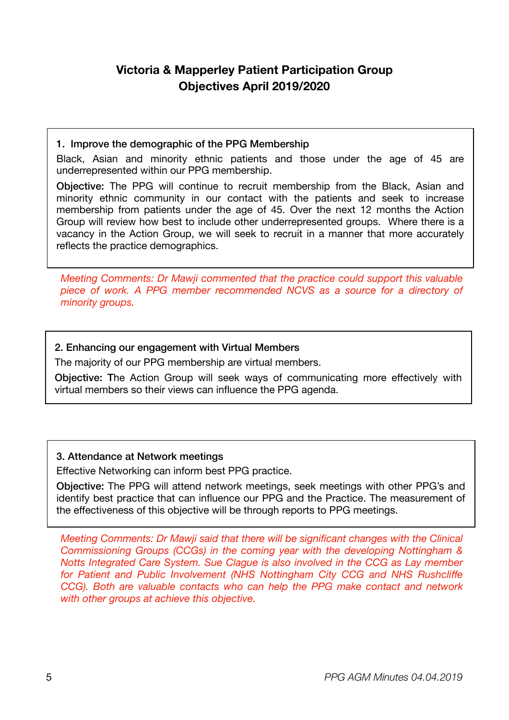## **Victoria & Mapperley Patient Participation Group Objectives April 2019/2020**

#### 1. Improve the demographic of the PPG Membership

Black, Asian and minority ethnic patients and those under the age of 45 are underrepresented within our PPG membership.

Objective: The PPG will continue to recruit membership from the Black, Asian and minority ethnic community in our contact with the patients and seek to increase membership from patients under the age of 45. Over the next 12 months the Action Group will review how best to include other underrepresented groups. Where there is a vacancy in the Action Group, we will seek to recruit in a manner that more accurately reflects the practice demographics.

*Meeting Comments: Dr Mawji commented that the practice could support this valuable piece of work. A PPG member recommended NCVS as a source for a directory of minority groups.* 

#### 2. Enhancing our engagement with Virtual Members

The majority of our PPG membership are virtual members.

Objective: The Action Group will seek ways of communicating more effectively with virtual members so their views can influence the PPG agenda.

#### 3. Attendance at Network meetings

Effective Networking can inform best PPG practice.

Objective: The PPG will attend network meetings, seek meetings with other PPG's and identify best practice that can influence our PPG and the Practice. The measurement of the effectiveness of this objective will be through reports to PPG meetings.

*Meeting Comments: Dr Mawji said that there will be significant changes with the Clinical Commissioning Groups (CCGs) in the coming year with the developing Nottingham & Notts Integrated Care System. Sue Clague is also involved in the CCG as Lay member for Patient and Public Involvement (NHS Nottingham City CCG and NHS Rushcliffe CCG). Both are valuable contacts who can help the PPG make contact and network with other groups at achieve this objective.*